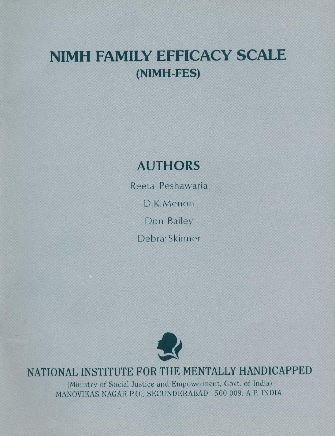# NIMH FAMILY EFFICACY SCALE (NIMH-FES)

# AUTHORS

Reeta Peshawaria, D.K.Menon Don Bailey Debra<sup>.</sup> Skinner



# j NATIONAL INSTITUTE FOR THE MENTALLY HANDICAPPED

(Ministry of Social Justice and Empowerment, Govt. of India) MANOVIKAS NAGAR P.O., SECUNDERABAD - 500 009. A.P. INDIA.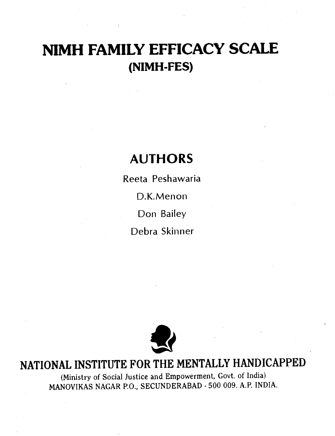# NIMH FAMILY EFFICACY SCALE (NIMH-FES)

# AUTHORS

Reeta Peshawaria D.K. Menon Don Bailey Debra Skinner



# NATIONAL INSTITUTE FOR THE MENTALLY HANDICAPPED

(Ministry of Social Justice and Empowerment, Govt. of India) MANOVIKAS NAGAR P.O., SECUNDERABAD . 500 009. A.P. INDIA.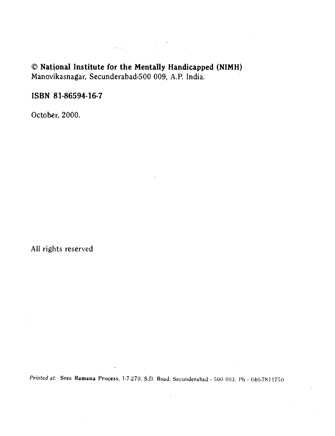### National Institute for the Mentally Handicapped (NIMH) Manovikasnagar, Secunderabad-500 009, A.P. India.

### ISBN 81-86594-16-7

October, 2000.

All rights reserved

Printed at: Sree Ramana Process, 1-7-270, S.D. Road. Secunderabad - 500 003. Ph : 040-7811750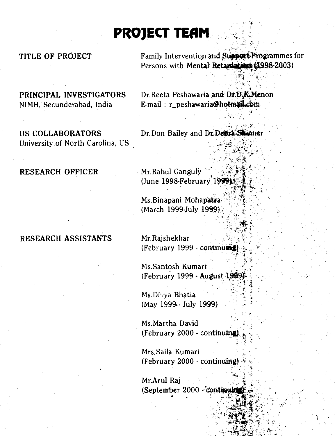# PROJECT TEAM

University of North Carolina, US

RESEARCH OFFICER Mr. Rahul Ganguly

### RESEARCH ASSISTANTS Mr. Rajshekhar

TITLE OF PROJECT Family Intervention and Support Programmes for<br>Persons with Mental Retardations (1998-2003)

 $\mathcal{L} = \mathbf{X} \mathbf{A}$ 

PRINCIPAL INVESTIGATORS Dr.Reeta Peshawaria and Dr.D.K.Menon NIMH, Secunderabad, India E-mail : r\_peshawaria@hotmail.com

US COLLABORATORS Dr.Don Bailey and Dr.Debra Skinner

(June 1998-February  $1999$ 

Ms. Binapani Mohapatra (March 1999-July 1999) .

 $(February 1999 - \text{continu**inig**)$ 

Ms.Santosh Kumari (February 1999 - August 1999)<br>  $\begin{array}{c}\n\vdots \\
\vdots\n\end{array}$ 

Ms.Divya Bhatia (May 1999.-July 1999)

Ms.Martha David (February 2000 - continuing) .

Mrs.Saila Kumari (February 2000 - continuing) .

Mr.Arul Raj (September 2000 - continui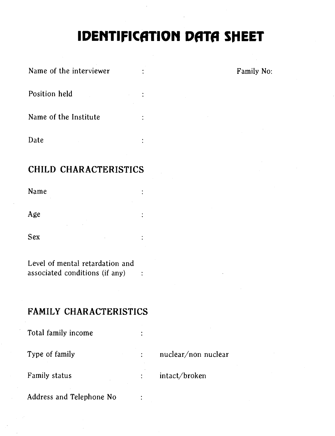# IDENTIFICATION DATA SHEET

Ė

 $\ddot{\cdot}$ 

÷

 $\ddot{\cdot}$ 

| Name of the interviewer |  |
|-------------------------|--|
| Position held           |  |
| Name of the Institute   |  |

Date

### CHILD CHARACTERISTICS

Name

Age

Sex

Level of mental retardation and associated conditions (if any)

### FAMILY CHARACTERISTICS

Total family income

Type of family  $\qquad \qquad : \qquad \text{nuclear}/\text{non nuclear}$ 

Family status : intact/broken

Address and Telephone No

Family No: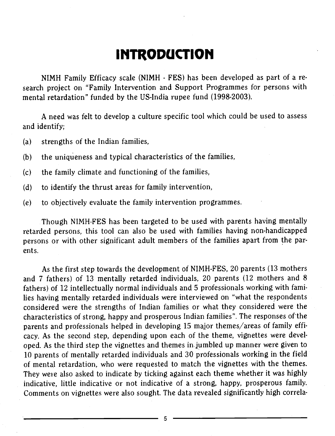# **INTRODUCTION**

NIMH Family Efficacy scale (NIMH - FES) has been developed as part of a research project on "Family Intervention and Support Programmes for persons with mental retardation" funded by the US-India rupee fund (1998-2003).

A need was felt to develop a culture specific tool which could be used to assess and identify;

(a) strengths of the Indian families,

(b) the uniqueness and typical characteristics of the families,

- (c) the family climate and functioning of the families,
- (d) to identify the thrust areas for family intervention,
- (e) to objectively evaluate the family intervention programmes.

Though NIMH-FES has been targeted to be used with parents having mentally retarded persons, this tool can also be used with families having non-handicapped persons or with other significant adult members of the families apart from the parents.

As the first step towards the development of NIMH-FES, 20 parents (13 mothers and 7 fathers) of 13 mentally retarded individuals, 20 parents (12 mothers and 8 fathers) of 12 intellectually normal individuals and 5 professionals working with families having mentally retarded individuals were interviewed on "what the respondents considered were the strengths of Indian families or what they considered were the characteristics of strong, happy and prosperous Indian families". The responses ofthe parents and professionals helped in developing 15 major themes/areas of family efficacy. As the second step, depending upon each of the theme, vignettes were developed. As the third step the vignettes and themes in.umbled up manner were given to 10 parents of mentally retarded individuals and 30 professionals working in the field of mentai retardation, who were requested to match the vignettes with the themes. They were also asked to indicate by ticking against each theme whether it was highly indicative, little indicative or not indicative of a strong, happy, prosperous family. Comments on vignettes were also sought. The data revealed significantly high correla-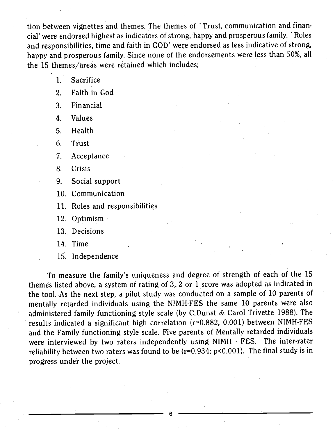tion between vignettes and themes. The themes of 'Trust, communication and finan cia!' were endorsed highest as indicators of strong, happy and prosperous family. 'Roles and responsibilities, time and faith in GOD' were endorsed as less indicative of strong, happy and prosperous family. Since none of the endorsements were less than 50%, all the 15 themes/areas were retained which includes;

1. Sacrifice

2. Faith in God

3. Financial

4. Values

5. Health

6. Trust

7. Acceptance

8. Crisis

9. Social support

10. Communication

11. Roles and responsibilities

12. Optimism

13. Decisions

14. Time

15. Independence

To measure the family's uniqueness and degree of strength of each of the 15 themes listed above, a system of rating of 3, 2 or 1 score was adopted as indicated in the tool. As the next step, a pilot study was conducted on a sample of 10 parents of mentally retarded individuals using the NJMH-FES the same 10 parents were also administered family functioning style scale (by C.Dunst & Carol Trivette 1988). The results indicated a significant high correlation (r=0.882, 0.001) between NIMH-FES and the Family functioning style scale. Five parents of Mentally retarded individuals were interviewed by two raters independently using NIMH - FES. The inter-rater reliability between two raters was found to be  $(r=0.934; p<0.001)$ . The final study is in progress under the project.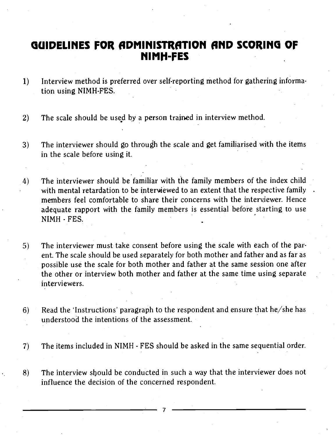## GUIDELINES FOR ADMINISTRATION AND SCORING OF MIMH-FES

- 1) Interview method is preferred over self-reporting method for gathering information using NIMH-FES.
- 2) The scale should be used by a person trained in interview method.
- 3) The interviewer should go through the scale and get familiarised with the items in the scale before using it.
- 4) The interviewer should be familiar with the family members of the index child with mental retardation to be interviewed to an extent that the respective family members feel comfortable to share their concerns with the interviewer. Hence adequate rapport with the family members is essential before starting to use NIMH - FES.
- 5) The interviewer must take consent before using the scale with each of the parent. The scale should be used separately for both mother and father and as far as possible use the scale for both mother and father at the same session one after the other or interview both mother and father at the same time using separate interviewers.
- 6) Read the 'Instructions' paragraph to the respondent and ensure that he/she has understood the intentions of the assessment.
- 7) The items included in NIMH FES should be asked in the same sequential order.
- 8) The interview sbould be conducted in such a way that the interviewer does not influence the decision of the concerned respondent.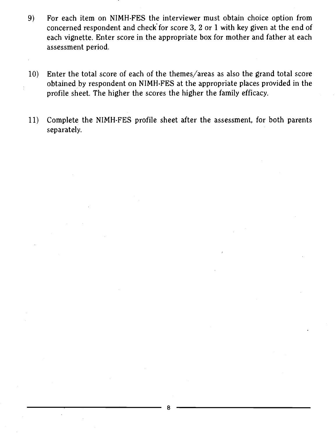- 9) For each item on NIMH-FES the interviewer must obtain choice option from concerned respondent and check' for score 3, 2 or 1 with key given at the end of each vignette. Enter score in the appropriate box for mother and father at each assessment period.
- 10) Enter the total score of each of the themes/areas as also the grand total score obtained by respondent on NIMH-FES at the appropriate places provided in the profile sheet. The higher the scores the higher the family efficacy.
- 11) Complete the NIMH-FES profile sheet after the assessment, for both parents separately.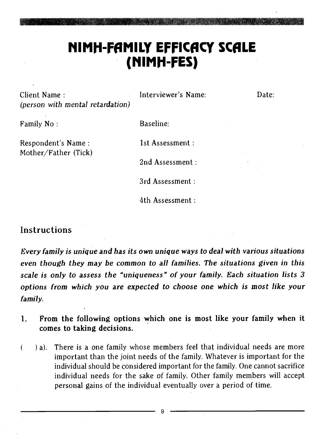# NIMH-FAMILY EFFICACY SCALE (NIMH-FES)

Client Name : Interviewer's Name: Date: (person with mental retardation)

Family No: Baseline:

Respondent's Name : 1st Assessment :

Mother/Father (Tick)

2nd Assessment:

3rd Assessment:

4th Assessment:

### Instructions

Every family is unique and has its own unique ways to deal with various situations even though they may be common to all families. The situations given in this scale is only to assess the "uniqueness" of your family. Each situation lists 3 options from which you are expected to choose one which is most like your family.

- 1. From the following options which one is most like your family when it comes to taking decisions.
- a). There is a one family whose members feel that individual needs are more  $\left($ important than the joint needs of the family. Whatever is important for the individual should be considered important for the family. One cannot sacrifice individual needs for the sake of family. Other family members will accept personal gains of the individual eventually over a period of time.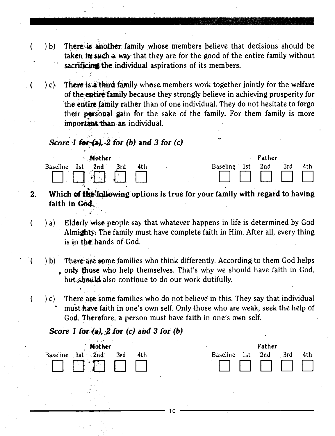- (b) There is another family whose members believe that decisions should be taken in such a way that they are for the good of the entire family without sacrificing the individual aspirations of its members.
	- $(c)$ . There is a third family whose members work together jointly for the welfare of the entire family because they strongly believe in achieving prosperity for the entire family rather than of one individual. They do not hesitate to forgo their personal gain for the sake of the family. For them family is more important than an individual.

### Score 1 for  $(a)$ , 2 for (b) and 3 for (c)

| <b>Mother</b>                        | Father                                      |  |  |  |  |  |  |  |
|--------------------------------------|---------------------------------------------|--|--|--|--|--|--|--|
| <b>Baseline</b><br>2nd<br>4th<br>1st | 4th<br>3rd<br><b>Baseline</b><br>2nd<br>1st |  |  |  |  |  |  |  |
|                                      |                                             |  |  |  |  |  |  |  |
| i sa Mangalang Kabupatèn Ka          | $ -$<br>- -                                 |  |  |  |  |  |  |  |

- 2. Which of the following options is true for your family with regard to having faith in God.
	- $\alpha$ ) a) Elderly wise people say that whatever happens in life is determined by God Almighty. The family must have complete faith in Him. After all, every thing is in the hands of God
	- b) There are some families who think differently. According to them God helps only those who help themselves. That's why we should have faith in God, but.shou14 also continue to do our work dutifully.
	- $c$ ) C) There are some families who do not believe in this. They say that individual must have faith in one's own self. Only those who are weak, seek the help of God. Therefore, a person must have faith in one's own self.

### Score 1 for  $(a)$ , 2 for (c) and 3 for (b)



€

€



 $\frac{1}{10}$  10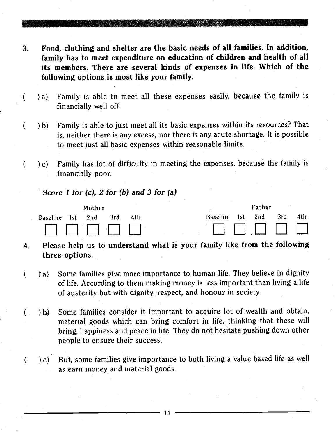- 3. Food, clothing and shelter are the basic needs of all families. In addition, family has to meet expenditure on education of children and health of all its members. There are several kinds of expenses in life. Which of the following options is most like your family.
	- a) Family is able to meet all these expenses easily, because the family is financially well off.
	- ) b) Family is able to just meet all its basic expenses within its resources? That is, neither there is any excess, nor there is any acute shortage. It is possible to meet just all basic expenses within reasonable limits.
	- c) Family has lot of difficulty in meeting the expenses, because the family is financially poor.

Score 1 for (c), 2 for (b) and 3 for (a)

 $\overline{ }$ 

€

 $\overline{(\ }$ 

(

|                  | Mother |       |     |  |              | Father |      |      |  |
|------------------|--------|-------|-----|--|--------------|--------|------|------|--|
| Baseline 1st 2nd |        | – 3rd | 4th |  | Baseline 1st | 2nd    | -3rd | 4th. |  |
|                  |        |       |     |  |              |        |      |      |  |

- 4. Please help us to understand what is your family like from the following three options.
- ) a) Some families give more importance to human life. They believe in dignity € of life. According to them making money is less important than living a life of austerity but with dignity, respect, and honour in society.
- Ib) Some families consider it important to acquire lot of wealth and obtain, € material goods which can bring comfort in life, thinking that these will bring, happiness and peace in life. They do not hesitate pushing down other people to ensure their success.
	- c) But, some families give importance to both living a value based life as well as earn money and material goods.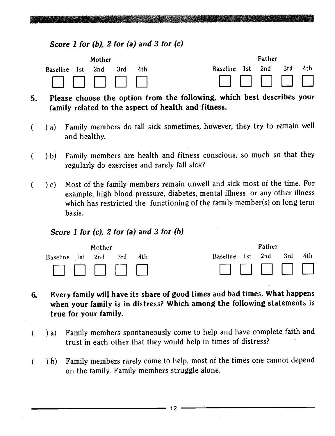### Score 1 for (b), 2 for (a) and 3 for (c)

|                  | Mother |      |      | Father                            |
|------------------|--------|------|------|-----------------------------------|
| Baseline 1st 2nd |        | -3rd | -4th | Baseline 1st 2nd<br>-4th<br>- 3rd |
|                  |        |      |      | <b>THE REAL PROPERTY</b>          |

5. Please choose the option from the following, which best describes your family related to the aspect of health and fitness.

- ) a) Family members do fall sick sometimes, however, they try to remain well  $\left($ and healthy.
- ( ) b) Family members are health and fitness conscious, so much so that they regularly do exercises and rarely fall sick?
- $(c)$  Most of the family members remain unwell and sick most of the time. For  $\left($ example, high blood pressure, diabetes, mental illness, or any other illness which has restricted the functioning of the family member(s) on long term basis.

### Score 1 for  $(c)$ , 2 for  $(a)$  and 3 for  $(b)$

€

| Mother   |     |     |     |     |                 | Father |            |     |     |  |  |  |
|----------|-----|-----|-----|-----|-----------------|--------|------------|-----|-----|--|--|--|
| Baseline | 1st | 2nd | 3rd | 4th | <b>Baseline</b> | - 1st  | 2nd        | 3rd | 4th |  |  |  |
|          |     |     |     |     |                 |        | 1111111111 |     |     |  |  |  |

- 6. Every family wilj have its share of good times and bad times. What happens when your family is in distress? Which among the following statements is true for your family.
	- ) a) Family members spontaneously come to help and have complete faith and trust in each other that they would help in times of distress?
- b) Family members rarely come to help, most of the times one cannot depend  $\overline{(\ }$ on the family. Family members struggle alone.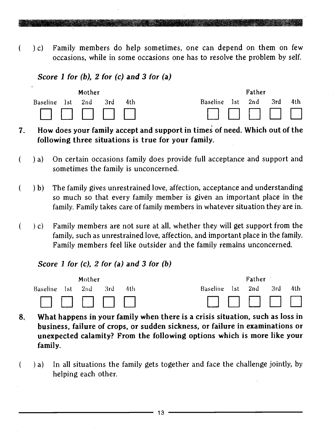c) Family members do help sometimes, one can depend on them on few occasions, while in some occasions one has to resolve the problem by self.

### Score 1 for  $(b)$ , 2 for  $(c)$  and 3 for  $(a)$

 $\overline{(\ }$ 



- 7. How does your family accept and support in times of need. Which out of the following three situations is true for your family.
- $\left($ ) a) On certain occasions family does provide full acceptance and support and sometimes the family is unconcerned.
- b) The family gives unrestrained love, affection, acceptance and understanding  $\overline{(}$ so much so that every family member is given an important place in the family. Family takes care of family members in whatever situation they are in.
- $\overline{(}$  $(c)$  Family members are not sure at all, whether they will get support from the family, such as unrestrained love, affection, and important place in the family. Family members feel like outsider and the family remains unconcerned.

### Score 1 for  $(c)$ , 2 for  $(a)$  and 3 for  $(b)$



- 8. What happens in your family when there is a crisis situation, such as loss in business, failure of crops, or sudden sickness, or failure in examinations or unexpected calamity? From the following options which is more like your family.
- $\overline{(}$ a) In all situations the family gets together and face the challenge jointly, by helping each other.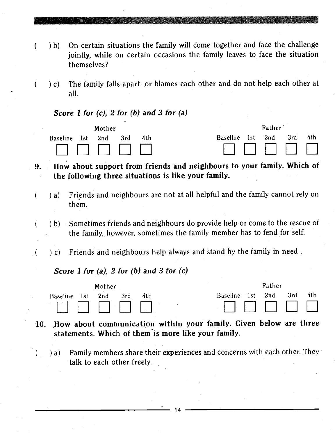- ( ) b) On certain situations the family will come together and face the challenge jointly, while on certain occasions the family leaves to face the situation themselves?
	- c) The family falls apart. or blames each other and do not help each other at all.

Score 1 for  $(c)$ , 2 for  $(b)$  and 3 for  $(a)$ 

 $\left($ 

€

 $\left($ 

 $\sqrt{ }$ 

€



- 9. How about support from friends and neighbours to your family. Which of the following three situations is like your family.
	- a) Friends and neighbours are not at all helpful and the family cannot rely on them.
		- b) Sometimes friends and neighbours do provide help or come to the rescue of the family, however, sometimes the family member has to fend for self.
	- (c) Friends and neighbours help always and stand by the family in need.

Score 1 for (a), 2 for (b) and 3 for  $(c)$ 

|              | Mother |     |  |              | Father |      |     |  |
|--------------|--------|-----|--|--------------|--------|------|-----|--|
| Baseline 1st | 2nd    | 3rd |  | Baseline 1st | 2nd    | 3rd. | 4th |  |
|              |        |     |  |              |        |      |     |  |

10. How about communication within your family. Given below are three statements. Which of them•is more like your family.

14

a) Family members share their experiences and concerns with each other. They talk to each other freely,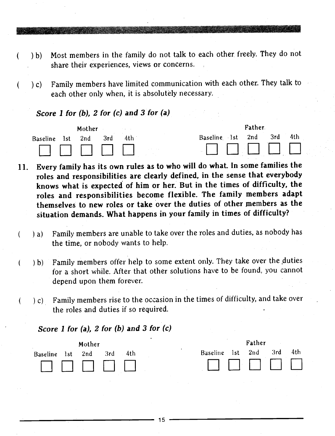- ) b) Most members in the family do not talk to each other, freely. They do not share their experiences, views or concerns.
- ) C) Family members have limited communication with each other. They talk to each other only when, it is absolutely necessary.

Score 1 for (b), 2 for (c) and 3 for (a)

(

€

 $\left($ 

 $\overline{(\ }$ 



- 11. Every family has its own rules as to who will do whaL In some families the roles and responsibilities are clearly defined, in the sense that everybody knows what is expected of him or her. But in the times of difficulty, the roles and responsibilities become flexible. The family members adapt themselves to new roles or take over the duties of other members as the situation demands. What happens in your family in times of difficulty?
	- a) Family members are unable to take over the roles and duties, as nobody has the time, or nobody wants to help.
	- b) Family members offer help to some extent only. They take over the duties for a short while. After that other solutions have to be found, you cannot depend upon them forever.
	- c) Family members rise to the occasion in the times of difficulty, and take over the roles and duties if so required.

Score 1 for (a), 2 for (b) and 3 for  $(c)$ 

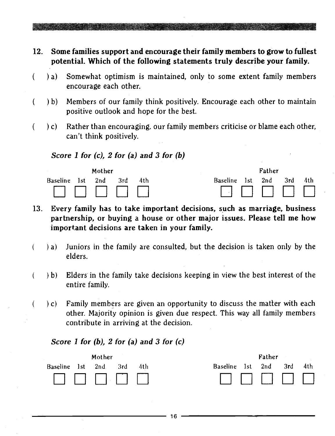12. Some families support and encourage their family members to grow to fullest potential. Which of the following statements truly describe your family.

- $\overline{(\ }$ ) a) Somewhat optimism is maintained, only to some extent family members encourage each other.
- € b) Members of our family think positively. Encourage each other to maintain positive outlook and hope for the best.
- ( ) c) Rather than encouraging. our family members criticise or blame each other, can't think positively.

### Score 1 for  $(c)$ , 2 for  $(a)$  and 3 for  $(b)$



- 13. Every family has to take important decisions, such as marriage, business parthership, or buying a house or other major issues. Please tell me how impOrtant decisions are taken in your family.
- $\left($ a) Juniors in the family are consulted, but the decision is taken only by the elders.
	- b) Elders in the family take decisions keeping in view the best interest of the entire family.
		- c) Family members are given an opportunity to discuss the matter with each other. Majority opinion is given due respect. This way all family members contribute in arriving at the decision.

### Score 1 for  $(b)$ , 2 for  $(a)$  and 3 for  $(c)$

 $\left($ 

€

|                  | Mother |       |       | Father                      |
|------------------|--------|-------|-------|-----------------------------|
| Baseline 1st 2nd |        | - 3rd | – 4th | 2nd<br>Baseline 1st<br>3rd. |
|                  |        |       |       |                             |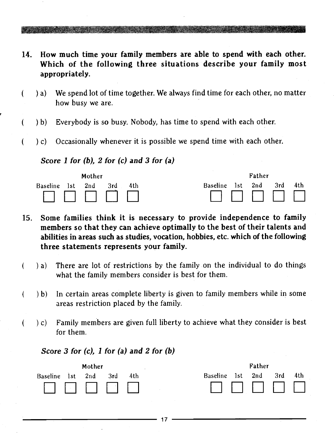- 14. How much time your family members are able to spend with each other. Which of the following three situations describe your family most appropriately.
- ) a) We spend lot of time together. We always find time for each other, no matter € how busy we are.
- b) Everybody is so busy. Nobody, has time to spend with each other. (
- c) Occasionally whenever it is possible we spend time with each other. (

### Score 1 for  $(b)$ , 2 for  $(c)$  and 3 for  $(a)$



- 15. Some families think it is necessary to provide independence to family members so that they can achieve optimally to the best of their talents and abilities in areas such as studies, vocation, hobbies, etc. which of the following three statements represents your family.
- a) There are lot of restrictions by the family on the individual to do things € what the family members consider is best for them.
- b) In certain areas complete liberty is given to family members while in some € areas restriction placed by the family.
- c) Family members are given full liberty to achieve what they consider is best € for them.

### Score 3 for  $(c)$ , 1 for  $(a)$  and 2 for  $(b)$

|                 |     | Mother |     |     |                 | Father |     |     |     |  |  |  |
|-----------------|-----|--------|-----|-----|-----------------|--------|-----|-----|-----|--|--|--|
| <b>Baseline</b> | 1st | 2nd    | 3rd | 4th | <b>Baseline</b> | 1st    | 2nd | 3rd | 4th |  |  |  |
|                 |     |        |     |     | 1               |        |     |     |     |  |  |  |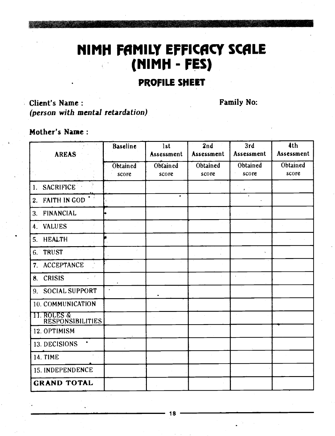# NIMH FAMILY EFFICACY SCALE (MIMPI - FES)

### PROFILE SHEET

### Client's Name: Family No: (person with mental retardation)

### Mother's Name:

| <b>AREAS</b>                                       | Baseline          | 1st<br>Assessment | 2nd<br>Assessment | 3rd<br>Assessment | 4th<br>Assessment |
|----------------------------------------------------|-------------------|-------------------|-------------------|-------------------|-------------------|
|                                                    | Obtained<br>score | Obtained<br>score | Obtained<br>score | Obtained<br>score | Obtained<br>score |
| <b>SACRIFICE</b><br>1.                             |                   |                   |                   | $\pmb{\ast}$      |                   |
| <b>FAITH IN GOD</b><br>2.                          |                   | ٠                 |                   |                   |                   |
| <b>FINANCIAL</b><br>3.                             |                   |                   |                   |                   |                   |
| <b>VALUES</b><br>4.                                |                   |                   |                   |                   |                   |
| <b>HEALTH</b><br>5.                                |                   |                   |                   |                   |                   |
| <b>TRUST</b><br>6.                                 | $\alpha$          |                   |                   |                   |                   |
| <b>ACCEPTANCE</b><br>7.                            |                   |                   |                   |                   |                   |
| <b>CRISIS</b><br>8.                                |                   |                   |                   |                   |                   |
| SOCIAL SUPPORT<br>9.                               |                   |                   |                   |                   |                   |
| 10. COMMUNICATION                                  |                   |                   |                   |                   |                   |
| <u> 11. ROLES &amp;</u><br><b>RESPONSIBILITIES</b> |                   |                   |                   |                   |                   |
| 12. OPTIMISM                                       |                   |                   |                   |                   |                   |
| 13. DECISIONS                                      |                   |                   |                   |                   |                   |
| <b>14. TIME</b>                                    |                   |                   |                   |                   |                   |
| 15. INDEPENDENCE                                   |                   |                   |                   |                   |                   |
| <b>GRAND TOTAL</b>                                 |                   |                   |                   |                   |                   |